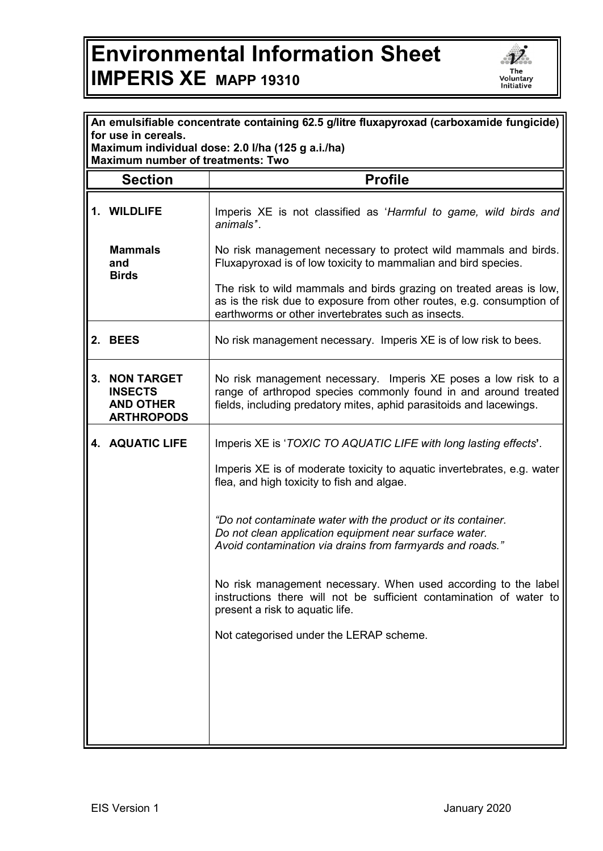## **Environmental Information Sheet IMPERIS XE MAPP 19310**



|                                                                          | An emulsifiable concentrate containing 62.5 g/litre fluxapyroxad (carboxamide fungicide) |                                                                                                                                                                                                          |  |
|--------------------------------------------------------------------------|------------------------------------------------------------------------------------------|----------------------------------------------------------------------------------------------------------------------------------------------------------------------------------------------------------|--|
| for use in cereals.<br>Maximum individual dose: 2.0 I/ha (125 g a.i./ha) |                                                                                          |                                                                                                                                                                                                          |  |
| <b>Maximum number of treatments: Two</b>                                 |                                                                                          |                                                                                                                                                                                                          |  |
|                                                                          | <b>Section</b>                                                                           | <b>Profile</b>                                                                                                                                                                                           |  |
|                                                                          | 1. WILDLIFE                                                                              | Imperis XE is not classified as 'Harmful to game, wild birds and<br>animals".                                                                                                                            |  |
|                                                                          | <b>Mammals</b><br>and<br><b>Birds</b>                                                    | No risk management necessary to protect wild mammals and birds.<br>Fluxapyroxad is of low toxicity to mammalian and bird species.                                                                        |  |
|                                                                          |                                                                                          | The risk to wild mammals and birds grazing on treated areas is low,<br>as is the risk due to exposure from other routes, e.g. consumption of<br>earthworms or other invertebrates such as insects.       |  |
| 2.                                                                       | <b>BEES</b>                                                                              | No risk management necessary. Imperis XE is of low risk to bees.                                                                                                                                         |  |
| 3.                                                                       | <b>NON TARGET</b><br><b>INSECTS</b><br><b>AND OTHER</b><br><b>ARTHROPODS</b>             | No risk management necessary. Imperis XE poses a low risk to a<br>range of arthropod species commonly found in and around treated<br>fields, including predatory mites, aphid parasitoids and lacewings. |  |
|                                                                          | 4. AQUATIC LIFE                                                                          | Imperis XE is 'TOXIC TO AQUATIC LIFE with long lasting effects'.                                                                                                                                         |  |
|                                                                          |                                                                                          | Imperis XE is of moderate toxicity to aquatic invertebrates, e.g. water<br>flea, and high toxicity to fish and algae.                                                                                    |  |
|                                                                          |                                                                                          | "Do not contaminate water with the product or its container.<br>Do not clean application equipment near surface water.<br>Avoid contamination via drains from farmyards and roads."                      |  |
|                                                                          |                                                                                          | No risk management necessary. When used according to the label<br>instructions there will not be sufficient contamination of water to<br>present a risk to aquatic life.                                 |  |
|                                                                          |                                                                                          | Not categorised under the LERAP scheme.                                                                                                                                                                  |  |
|                                                                          |                                                                                          |                                                                                                                                                                                                          |  |
|                                                                          |                                                                                          |                                                                                                                                                                                                          |  |
|                                                                          |                                                                                          |                                                                                                                                                                                                          |  |